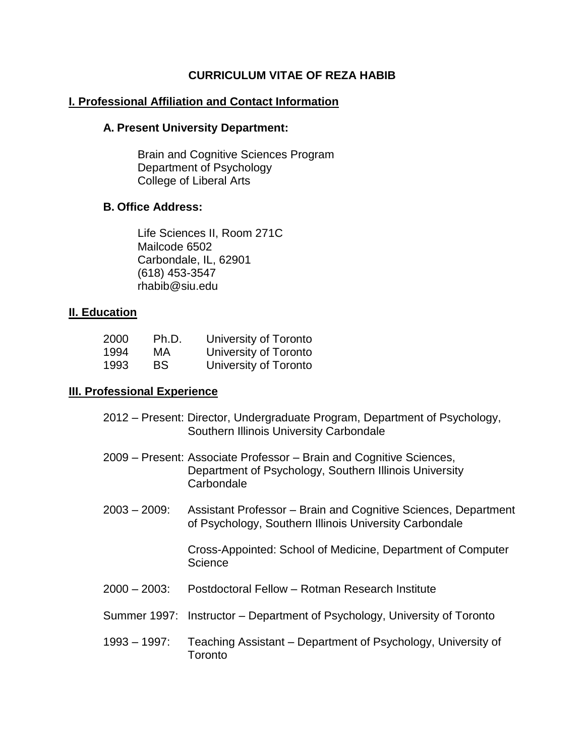### **CURRICULUM VITAE OF REZA HABIB**

### **I. Professional Affiliation and Contact Information**

#### **A. Present University Department:**

Brain and Cognitive Sciences Program Department of Psychology College of Liberal Arts

### **B. Office Address:**

Life Sciences II, Room 271C Mailcode 6502 Carbondale, IL, 62901 (618) 453-3547 rhabib@siu.edu

#### **II. Education**

| 2000 | Ph.D. | University of Toronto |
|------|-------|-----------------------|
| 1994 | МA    | University of Toronto |
| 1993 | BS    | University of Toronto |

#### **III. Professional Experience**

- 2012 Present: Director, Undergraduate Program, Department of Psychology, Southern Illinois University Carbondale
- 2009 Present: Associate Professor Brain and Cognitive Sciences, Department of Psychology, Southern Illinois University **Carbondale**
- 2003 2009: Assistant Professor Brain and Cognitive Sciences, Department of Psychology, Southern Illinois University Carbondale

Cross-Appointed: School of Medicine, Department of Computer **Science** 

- 2000 2003: Postdoctoral Fellow Rotman Research Institute
- Summer 1997: Instructor Department of Psychology, University of Toronto
- 1993 1997: Teaching Assistant Department of Psychology, University of **Toronto**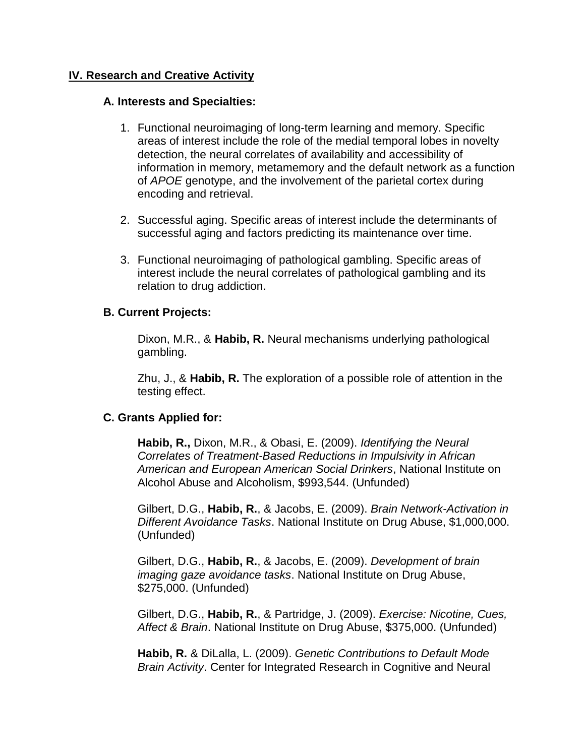### **IV. Research and Creative Activity**

#### **A. Interests and Specialties:**

- 1. Functional neuroimaging of long-term learning and memory. Specific areas of interest include the role of the medial temporal lobes in novelty detection, the neural correlates of availability and accessibility of information in memory, metamemory and the default network as a function of *APOE* genotype, and the involvement of the parietal cortex during encoding and retrieval.
- 2. Successful aging. Specific areas of interest include the determinants of successful aging and factors predicting its maintenance over time.
- 3. Functional neuroimaging of pathological gambling. Specific areas of interest include the neural correlates of pathological gambling and its relation to drug addiction.

#### **B. Current Projects:**

Dixon, M.R., & **Habib, R.** Neural mechanisms underlying pathological gambling.

Zhu, J., & **Habib, R.** The exploration of a possible role of attention in the testing effect.

#### **C. Grants Applied for:**

**Habib, R.,** Dixon, M.R., & Obasi, E. (2009). *Identifying the Neural Correlates of Treatment-Based Reductions in Impulsivity in African American and European American Social Drinkers*, National Institute on Alcohol Abuse and Alcoholism, \$993,544. (Unfunded)

Gilbert, D.G., **Habib, R.**, & Jacobs, E. (2009). *Brain Network-Activation in Different Avoidance Tasks*. National Institute on Drug Abuse, \$1,000,000. (Unfunded)

Gilbert, D.G., **Habib, R.**, & Jacobs, E. (2009). *Development of brain imaging gaze avoidance tasks*. National Institute on Drug Abuse, \$275,000. (Unfunded)

Gilbert, D.G., **Habib, R.**, & Partridge, J. (2009). *Exercise: Nicotine, Cues, Affect & Brain*. National Institute on Drug Abuse, \$375,000. (Unfunded)

**Habib, R.** & DiLalla, L. (2009). *Genetic Contributions to Default Mode Brain Activity*. Center for Integrated Research in Cognitive and Neural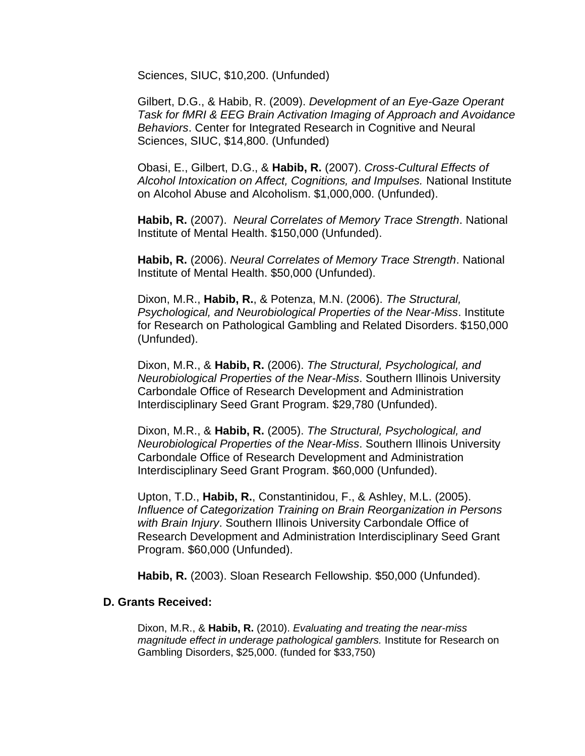Sciences, SIUC, \$10,200. (Unfunded)

Gilbert, D.G., & Habib, R. (2009). *Development of an Eye-Gaze Operant Task for fMRI & EEG Brain Activation Imaging of Approach and Avoidance Behaviors*. Center for Integrated Research in Cognitive and Neural Sciences, SIUC, \$14,800. (Unfunded)

Obasi, E., Gilbert, D.G., & **Habib, R.** (2007). *Cross-Cultural Effects of Alcohol Intoxication on Affect, Cognitions, and Impulses.* National Institute on Alcohol Abuse and Alcoholism. \$1,000,000. (Unfunded).

**Habib, R.** (2007). *Neural Correlates of Memory Trace Strength*. National Institute of Mental Health. \$150,000 (Unfunded).

**Habib, R.** (2006). *Neural Correlates of Memory Trace Strength*. National Institute of Mental Health. \$50,000 (Unfunded).

Dixon, M.R., **Habib, R.**, & Potenza, M.N. (2006). *The Structural, Psychological, and Neurobiological Properties of the Near-Miss*. Institute for Research on Pathological Gambling and Related Disorders. \$150,000 (Unfunded).

Dixon, M.R., & **Habib, R.** (2006). *The Structural, Psychological, and Neurobiological Properties of the Near-Miss*. Southern Illinois University Carbondale Office of Research Development and Administration Interdisciplinary Seed Grant Program. \$29,780 (Unfunded).

Dixon, M.R., & **Habib, R.** (2005). *The Structural, Psychological, and Neurobiological Properties of the Near-Miss*. Southern Illinois University Carbondale Office of Research Development and Administration Interdisciplinary Seed Grant Program. \$60,000 (Unfunded).

Upton, T.D., **Habib, R.**, Constantinidou, F., & Ashley, M.L. (2005). *Influence of Categorization Training on Brain Reorganization in Persons with Brain Injury*. Southern Illinois University Carbondale Office of Research Development and Administration Interdisciplinary Seed Grant Program. \$60,000 (Unfunded).

**Habib, R.** (2003). Sloan Research Fellowship. \$50,000 (Unfunded).

#### **D. Grants Received:**

Dixon, M.R., & **Habib, R.** (2010). *Evaluating and treating the near-miss magnitude effect in underage pathological gamblers.* Institute for Research on Gambling Disorders, \$25,000. (funded for \$33,750)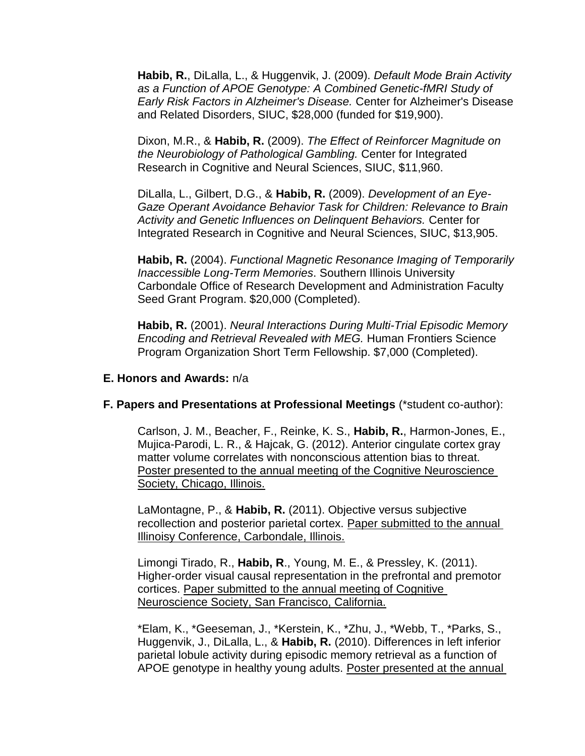**Habib, R.**, DiLalla, L., & Huggenvik, J. (2009). *Default Mode Brain Activity as a Function of APOE Genotype: A Combined Genetic-fMRI Study of Early Risk Factors in Alzheimer's Disease.* Center for Alzheimer's Disease and Related Disorders, SIUC, \$28,000 (funded for \$19,900).

Dixon, M.R., & **Habib, R.** (2009). *The Effect of Reinforcer Magnitude on the Neurobiology of Pathological Gambling.* Center for Integrated Research in Cognitive and Neural Sciences, SIUC, \$11,960.

DiLalla, L., Gilbert, D.G., & **Habib, R.** (2009). *Development of an Eye-Gaze Operant Avoidance Behavior Task for Children: Relevance to Brain Activity and Genetic Influences on Delinquent Behaviors.* Center for Integrated Research in Cognitive and Neural Sciences, SIUC, \$13,905.

**Habib, R.** (2004). *Functional Magnetic Resonance Imaging of Temporarily Inaccessible Long-Term Memories*. Southern Illinois University Carbondale Office of Research Development and Administration Faculty Seed Grant Program. \$20,000 (Completed).

**Habib, R.** (2001). *Neural Interactions During Multi-Trial Episodic Memory Encoding and Retrieval Revealed with MEG.* Human Frontiers Science Program Organization Short Term Fellowship. \$7,000 (Completed).

### **E. Honors and Awards:** n/a

#### **F. Papers and Presentations at Professional Meetings** (\*student co-author):

Carlson, J. M., Beacher, F., Reinke, K. S., **Habib, R.**, Harmon-Jones, E., Mujica-Parodi, L. R., & Hajcak, G. (2012). Anterior cingulate cortex gray matter volume correlates with nonconscious attention bias to threat. Poster presented to the annual meeting of the Cognitive Neuroscience Society, Chicago, Illinois.

LaMontagne, P., & **Habib, R.** (2011). Objective versus subjective recollection and posterior parietal cortex. Paper submitted to the annual Illinoisy Conference, Carbondale, Illinois.

Limongi Tirado, R., **Habib, R**., Young, M. E., & Pressley, K. (2011). Higher-order visual causal representation in the prefrontal and premotor cortices. Paper submitted to the annual meeting of Cognitive Neuroscience Society, San Francisco, California.

\*Elam, K., \*Geeseman, J., \*Kerstein, K., \*Zhu, J., \*Webb, T., \*Parks, S., Huggenvik, J., DiLalla, L., & **Habib, R.** (2010). Differences in left inferior parietal lobule activity during episodic memory retrieval as a function of APOE genotype in healthy young adults. Poster presented at the annual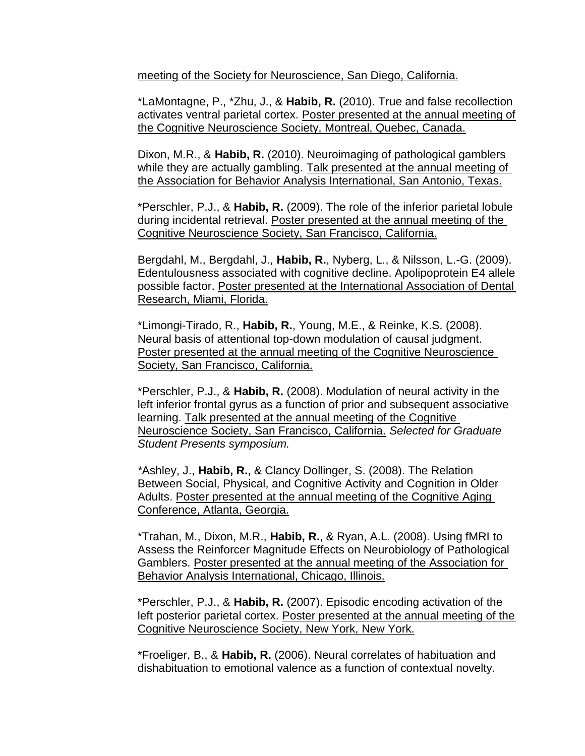meeting of the Society for Neuroscience, San Diego, California.

\*LaMontagne, P., \*Zhu, J., & **Habib, R.** (2010). True and false recollection activates ventral parietal cortex. Poster presented at the annual meeting of the Cognitive Neuroscience Society, Montreal, Quebec, Canada.

Dixon, M.R., & **Habib, R.** (2010). Neuroimaging of pathological gamblers while they are actually gambling. Talk presented at the annual meeting of the Association for Behavior Analysis International, San Antonio, Texas.

\*Perschler, P.J., & **Habib, R.** (2009). The role of the inferior parietal lobule during incidental retrieval. Poster presented at the annual meeting of the Cognitive Neuroscience Society, San Francisco, California.

Bergdahl, M., Bergdahl, J., **Habib, R.**, Nyberg, L., & Nilsson, L.-G. (2009). Edentulousness associated with cognitive decline. Apolipoprotein E4 allele possible factor. Poster presented at the International Association of Dental Research, Miami, Florida.

\*Limongi-Tirado, R., **Habib, R.**, Young, M.E., & Reinke, K.S. (2008). Neural basis of attentional top-down modulation of causal judgment. Poster presented at the annual meeting of the Cognitive Neuroscience Society, San Francisco, California.

\*Perschler, P.J., & **Habib, R.** (2008). Modulation of neural activity in the left inferior frontal gyrus as a function of prior and subsequent associative learning. Talk presented at the annual meeting of the Cognitive Neuroscience Society, San Francisco, California. *Selected for Graduate Student Presents symposium.*

*\**Ashley, J., **Habib, R.**, & Clancy Dollinger, S. (2008). The Relation Between Social, Physical, and Cognitive Activity and Cognition in Older Adults. Poster presented at the annual meeting of the Cognitive Aging Conference, Atlanta, Georgia.

\*Trahan, M., Dixon, M.R., **Habib, R.**, & Ryan, A.L. (2008). Using fMRI to Assess the Reinforcer Magnitude Effects on Neurobiology of Pathological Gamblers. Poster presented at the annual meeting of the Association for Behavior Analysis International, Chicago, Illinois.

\*Perschler, P.J., & **Habib, R.** (2007). Episodic encoding activation of the left posterior parietal cortex. Poster presented at the annual meeting of the Cognitive Neuroscience Society, New York, New York.

\*Froeliger, B., & **Habib, R.** (2006). Neural correlates of habituation and dishabituation to emotional valence as a function of contextual novelty.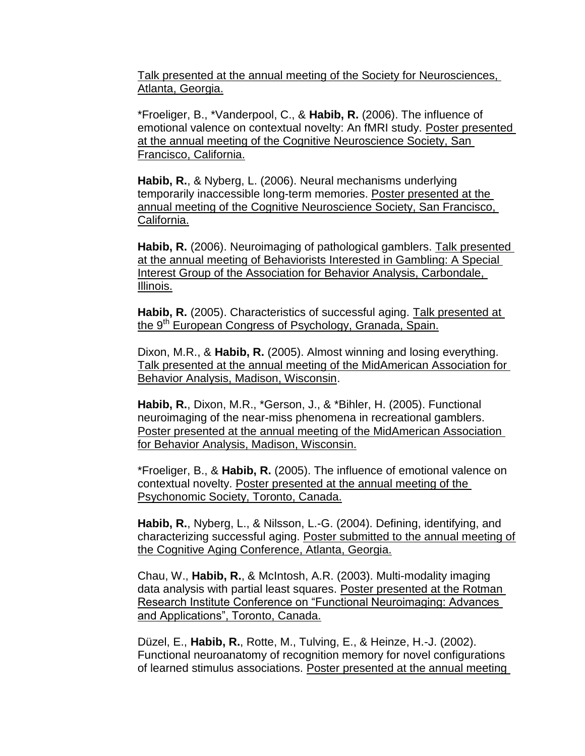Talk presented at the annual meeting of the Society for Neurosciences, Atlanta, Georgia.

\*Froeliger, B., \*Vanderpool, C., & **Habib, R.** (2006). The influence of emotional valence on contextual novelty: An fMRI study. Poster presented at the annual meeting of the Cognitive Neuroscience Society, San Francisco, California.

**Habib, R.**, & Nyberg, L. (2006). Neural mechanisms underlying temporarily inaccessible long-term memories. Poster presented at the annual meeting of the Cognitive Neuroscience Society, San Francisco, California.

**Habib, R.** (2006). Neuroimaging of pathological gamblers. Talk presented at the annual meeting of Behaviorists Interested in Gambling: A Special Interest Group of the Association for Behavior Analysis, Carbondale, Illinois.

**Habib, R.** (2005). Characteristics of successful aging. Talk presented at the 9<sup>th</sup> European Congress of Psychology, Granada, Spain.

Dixon, M.R., & **Habib, R.** (2005). Almost winning and losing everything. Talk presented at the annual meeting of the MidAmerican Association for **Behavior Analysis, Madison, Wisconsin.** 

**Habib, R.**, Dixon, M.R., \*Gerson, J., & \*Bihler, H. (2005). Functional neuroimaging of the near-miss phenomena in recreational gamblers. Poster presented at the annual meeting of the MidAmerican Association for Behavior Analysis, Madison, Wisconsin.

\*Froeliger, B., & **Habib, R.** (2005). The influence of emotional valence on contextual novelty. Poster presented at the annual meeting of the Psychonomic Society, Toronto, Canada.

**Habib, R.**, Nyberg, L., & Nilsson, L.-G. (2004). Defining, identifying, and characterizing successful aging. Poster submitted to the annual meeting of the Cognitive Aging Conference, Atlanta, Georgia.

Chau, W., **Habib, R.**, & McIntosh, A.R. (2003). Multi-modality imaging data analysis with partial least squares. Poster presented at the Rotman Research Institute Conference on "Functional Neuroimaging: Advances and Applications", Toronto, Canada.

Düzel, E., **Habib, R.**, Rotte, M., Tulving, E., & Heinze, H.-J. (2002). Functional neuroanatomy of recognition memory for novel configurations of learned stimulus associations. Poster presented at the annual meeting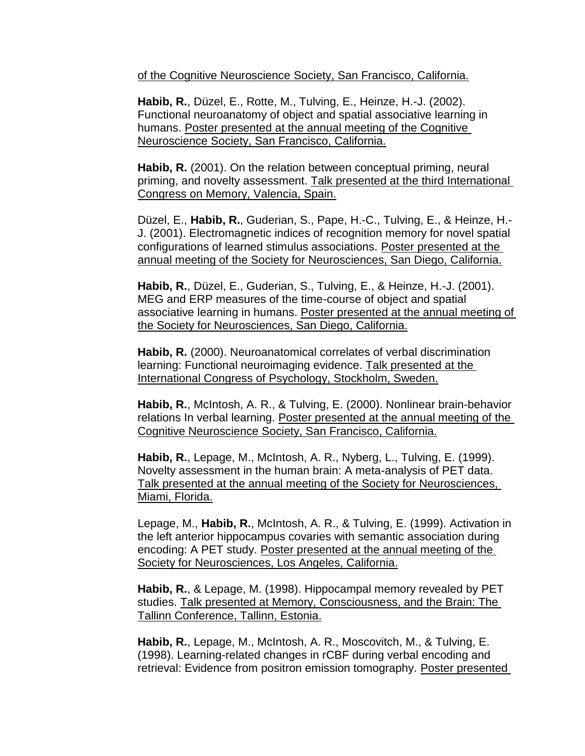of the Cognitive Neuroscience Society, San Francisco, California.

**Habib, R.**, Düzel, E., Rotte, M., Tulving, E., Heinze, H.-J. (2002). Functional neuroanatomy of object and spatial associative learning in humans. Poster presented at the annual meeting of the Cognitive Neuroscience Society, San Francisco, California.

**Habib, R.** (2001). On the relation between conceptual priming, neural priming, and novelty assessment. Talk presented at the third International Congress on Memory, Valencia, Spain.

Düzel, E., **Habib, R.**, Guderian, S., Pape, H.-C., Tulving, E., & Heinze, H.- J. (2001). Electromagnetic indices of recognition memory for novel spatial configurations of learned stimulus associations. Poster presented at the annual meeting of the Society for Neurosciences, San Diego, California.

**Habib, R.**, Düzel, E., Guderian, S., Tulving, E., & Heinze, H.-J. (2001). MEG and ERP measures of the time-course of object and spatial associative learning in humans. Poster presented at the annual meeting of the Society for Neurosciences, San Diego, California.

**Habib, R.** (2000). Neuroanatomical correlates of verbal discrimination learning: Functional neuroimaging evidence. Talk presented at the International Congress of Psychology, Stockholm, Sweden.

**Habib, R.**, McIntosh, A. R., & Tulving, E. (2000). Nonlinear brain-behavior relations In verbal learning. Poster presented at the annual meeting of the Cognitive Neuroscience Society, San Francisco, California.

**Habib, R.**, Lepage, M., McIntosh, A. R., Nyberg, L., Tulving, E. (1999). Novelty assessment in the human brain: A meta-analysis of PET data. Talk presented at the annual meeting of the Society for Neurosciences, Miami, Florida.

Lepage, M., **Habib, R.**, McIntosh, A. R., & Tulving, E. (1999). Activation in the left anterior hippocampus covaries with semantic association during encoding: A PET study. Poster presented at the annual meeting of the Society for Neurosciences, Los Angeles, California.

**Habib, R.**, & Lepage, M. (1998). Hippocampal memory revealed by PET studies. Talk presented at Memory, Consciousness, and the Brain: The Tallinn Conference, Tallinn, Estonia.

**Habib, R.**, Lepage, M., McIntosh, A. R., Moscovitch, M., & Tulving, E. (1998). Learning-related changes in rCBF during verbal encoding and retrieval: Evidence from positron emission tomography. Poster presented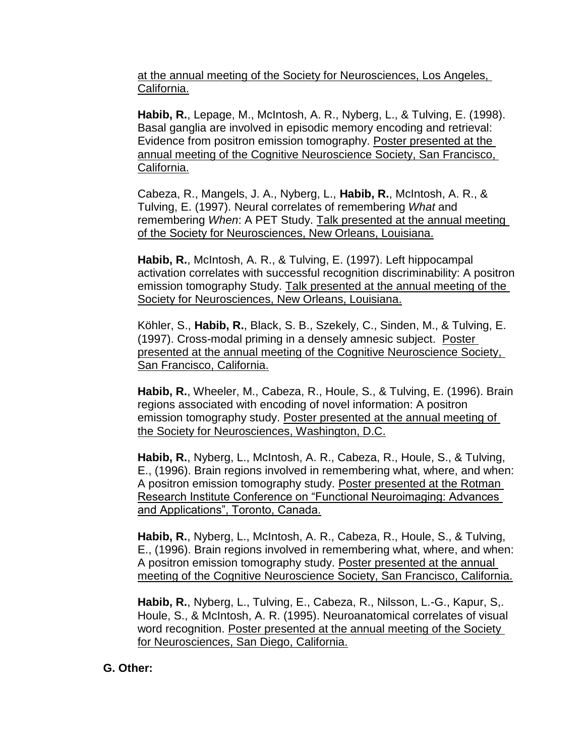at the annual meeting of the Society for Neurosciences, Los Angeles, California.

**Habib, R.**, Lepage, M., McIntosh, A. R., Nyberg, L., & Tulving, E. (1998). Basal ganglia are involved in episodic memory encoding and retrieval: Evidence from positron emission tomography. Poster presented at the annual meeting of the Cognitive Neuroscience Society, San Francisco, California.

Cabeza, R., Mangels, J. A., Nyberg, L., **Habib, R.**, McIntosh, A. R., & Tulving, E. (1997). Neural correlates of remembering *What* and remembering *When*: A PET Study. Talk presented at the annual meeting of the Society for Neurosciences, New Orleans, Louisiana.

**Habib, R.**, McIntosh, A. R., & Tulving, E. (1997). Left hippocampal activation correlates with successful recognition discriminability: A positron emission tomography Study. Talk presented at the annual meeting of the Society for Neurosciences, New Orleans, Louisiana.

Köhler, S., **Habib, R.**, Black, S. B., Szekely, C., Sinden, M., & Tulving, E. (1997). Cross-modal priming in a densely amnesic subject. Poster presented at the annual meeting of the Cognitive Neuroscience Society, San Francisco, California.

**Habib, R.**, Wheeler, M., Cabeza, R., Houle, S., & Tulving, E. (1996). Brain regions associated with encoding of novel information: A positron emission tomography study. Poster presented at the annual meeting of the Society for Neurosciences, Washington, D.C.

**Habib, R.**, Nyberg, L., McIntosh, A. R., Cabeza, R., Houle, S., & Tulving, E., (1996). Brain regions involved in remembering what, where, and when: A positron emission tomography study. Poster presented at the Rotman Research Institute Conference on "Functional Neuroimaging: Advances and Applications", Toronto, Canada.

**Habib, R.**, Nyberg, L., McIntosh, A. R., Cabeza, R., Houle, S., & Tulving, E., (1996). Brain regions involved in remembering what, where, and when: A positron emission tomography study. Poster presented at the annual meeting of the Cognitive Neuroscience Society, San Francisco, California.

**Habib, R.**, Nyberg, L., Tulving, E., Cabeza, R., Nilsson, L.-G., Kapur, S,. Houle, S., & McIntosh, A. R. (1995). Neuroanatomical correlates of visual word recognition. Poster presented at the annual meeting of the Society for Neurosciences, San Diego, California.

# **G. Other:**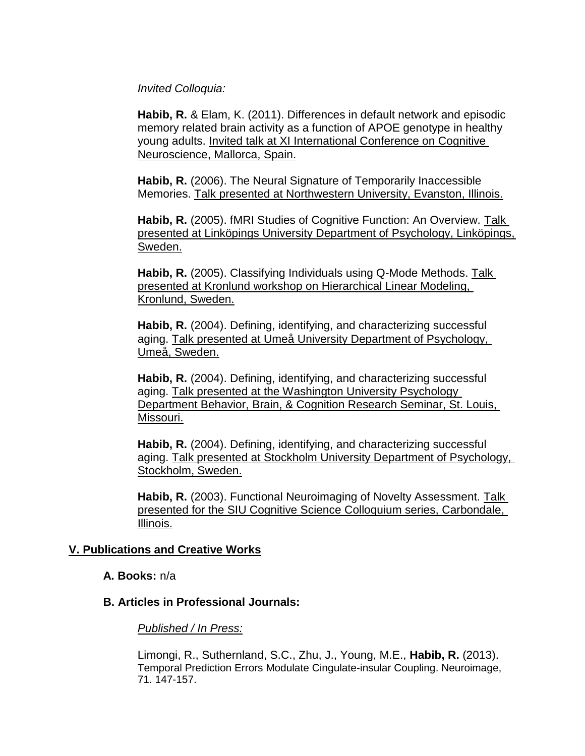### *Invited Colloquia:*

**Habib, R.** & Elam, K. (2011). Differences in default network and episodic memory related brain activity as a function of APOE genotype in healthy young adults. Invited talk at XI International Conference on Cognitive Neuroscience, Mallorca, Spain.

**Habib, R.** (2006). The Neural Signature of Temporarily Inaccessible Memories. Talk presented at Northwestern University, Evanston, Illinois.

Habib, R. (2005). fMRI Studies of Cognitive Function: An Overview. Talk presented at Linköpings University Department of Psychology, Linköpings, Sweden.

**Habib, R.** (2005). Classifying Individuals using Q-Mode Methods. Talk presented at Kronlund workshop on Hierarchical Linear Modeling, Kronlund, Sweden.

**Habib, R.** (2004). Defining, identifying, and characterizing successful aging. Talk presented at Umeå University Department of Psychology, Umeå, Sweden.

**Habib, R.** (2004). Defining, identifying, and characterizing successful aging. Talk presented at the Washington University Psychology Department Behavior, Brain, & Cognition Research Seminar, St. Louis, Missouri.

**Habib, R.** (2004). Defining, identifying, and characterizing successful aging. Talk presented at Stockholm University Department of Psychology, Stockholm, Sweden.

**Habib, R.** (2003). Functional Neuroimaging of Novelty Assessment. Talk presented for the SIU Cognitive Science Colloquium series, Carbondale, Illinois.

### **V. Publications and Creative Works**

**A. Books:** n/a

### **B. Articles in Professional Journals:**

### *Published / In Press:*

Limongi, R., Suthernland, S.C., Zhu, J., Young, M.E., **Habib, R.** (2013). Temporal Prediction Errors Modulate Cingulate-insular Coupling. Neuroimage, 71. 147-157.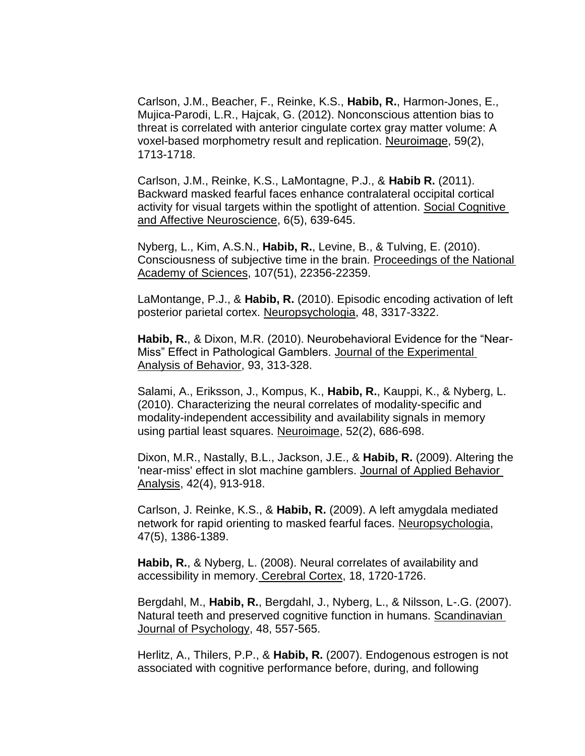Carlson, J.M., Beacher, F., Reinke, K.S., **Habib, R.**, Harmon-Jones, E., Mujica-Parodi, L.R., Hajcak, G. (2012). Nonconscious attention bias to threat is correlated with anterior cingulate cortex gray matter volume: A voxel-based morphometry result and replication. Neuroimage, 59(2), 1713-1718.

Carlson, J.M., Reinke, K.S., LaMontagne, P.J., & **Habib R.** (2011). Backward masked fearful faces enhance contralateral occipital cortical activity for visual targets within the spotlight of attention. Social Cognitive and Affective Neuroscience, 6(5), 639-645.

Nyberg, L., Kim, A.S.N., **Habib, R.**, Levine, B., & Tulving, E. (2010). Consciousness of subjective time in the brain. Proceedings of the National Academy of Sciences, 107(51), 22356-22359.

LaMontange, P.J., & **Habib, R.** (2010). Episodic encoding activation of left posterior parietal cortex. Neuropsychologia, 48, 3317-3322.

**Habib, R.**, & Dixon, M.R. (2010). Neurobehavioral Evidence for the "Near-Miss" Effect in Pathological Gamblers. Journal of the Experimental Analysis of Behavior, 93, 313-328.

Salami, A., Eriksson, J., Kompus, K., **Habib, R.**, Kauppi, K., & Nyberg, L. (2010). Characterizing the neural correlates of modality-specific and modality-independent accessibility and availability signals in memory using partial least squares. Neuroimage, 52(2), 686-698.

Dixon, M.R., Nastally, B.L., Jackson, J.E., & **Habib, R.** (2009). Altering the 'near-miss' effect in slot machine gamblers. Journal of Applied Behavior Analysis, 42(4), 913-918.

Carlson, J. Reinke, K.S., & **Habib, R.** (2009). A left amygdala mediated network for rapid orienting to masked fearful faces. Neuropsychologia, 47(5), 1386-1389.

**Habib, R.**, & Nyberg, L. (2008). Neural correlates of availability and accessibility in memory. Cerebral Cortex, 18, 1720-1726.

Bergdahl, M., **Habib, R.**, Bergdahl, J., Nyberg, L., & Nilsson, L-.G. (2007). Natural teeth and preserved cognitive function in humans. Scandinavian Journal of Psychology, 48, 557-565.

Herlitz, A., Thilers, P.P., & **Habib, R.** (2007). Endogenous estrogen is not associated with cognitive performance before, during, and following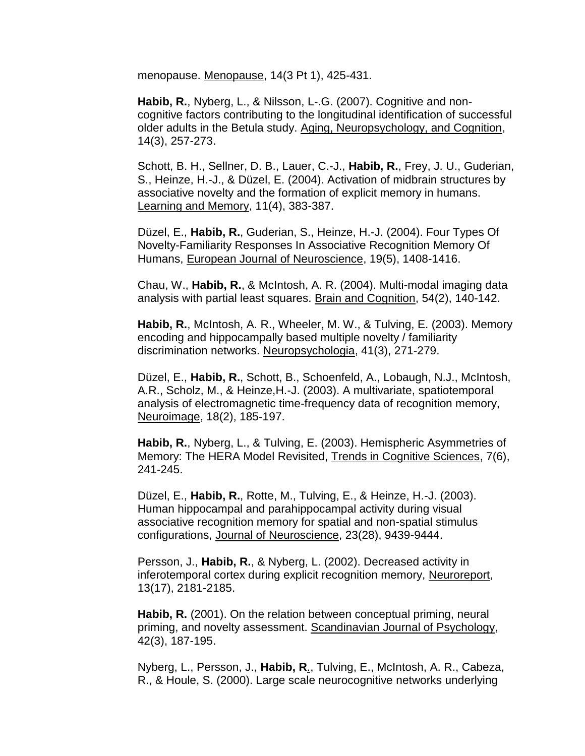menopause. Menopause, 14(3 Pt 1), 425-431.

**Habib, R.**, Nyberg, L., & Nilsson, L-.G. (2007). Cognitive and noncognitive factors contributing to the longitudinal identification of successful older adults in the Betula study. Aging, Neuropsychology, and Cognition, 14(3), 257-273.

Schott, B. H., Sellner, D. B., Lauer, C.-J., **Habib, R.**, Frey, J. U., Guderian, S., Heinze, H.-J., & Düzel, E. (2004). Activation of midbrain structures by associative novelty and the formation of explicit memory in humans. Learning and Memory, 11(4), 383-387.

Düzel, E., **Habib, R.**, Guderian, S., Heinze, H.-J. (2004). Four Types Of Novelty-Familiarity Responses In Associative Recognition Memory Of Humans, European Journal of Neuroscience, 19(5), 1408-1416.

Chau, W., **Habib, R.**, & McIntosh, A. R. (2004). Multi-modal imaging data analysis with partial least squares. Brain and Cognition, 54(2), 140-142.

**Habib, R.**, McIntosh, A. R., Wheeler, M. W., & Tulving, E. (2003). Memory encoding and hippocampally based multiple novelty / familiarity discrimination networks. Neuropsychologia, 41(3), 271-279.

Düzel, E., **Habib, R.**, Schott, B., Schoenfeld, A., Lobaugh, N.J., McIntosh, A.R., Scholz, M., & Heinze,H.-J. (2003). A multivariate, spatiotemporal analysis of electromagnetic time-frequency data of recognition memory, Neuroimage, 18(2), 185-197.

**Habib, R.**, Nyberg, L., & Tulving, E. (2003). Hemispheric Asymmetries of Memory: The HERA Model Revisited, Trends in Cognitive Sciences, 7(6), 241-245.

Düzel, E., **Habib, R.**, Rotte, M., Tulving, E., & Heinze, H.-J. (2003). Human hippocampal and parahippocampal activity during visual associative recognition memory for spatial and non-spatial stimulus configurations, Journal of Neuroscience, 23(28), 9439-9444.

Persson, J., **Habib, R.**, & Nyberg, L. (2002). Decreased activity in inferotemporal cortex during explicit recognition memory, Neuroreport, 13(17), 2181-2185.

**Habib, R.** (2001). On the relation between conceptual priming, neural priming, and novelty assessment. Scandinavian Journal of Psychology, 42(3), 187-195.

Nyberg, L., Persson, J., **Habib, R**., Tulving, E., McIntosh, A. R., Cabeza, R., & Houle, S. (2000). Large scale neurocognitive networks underlying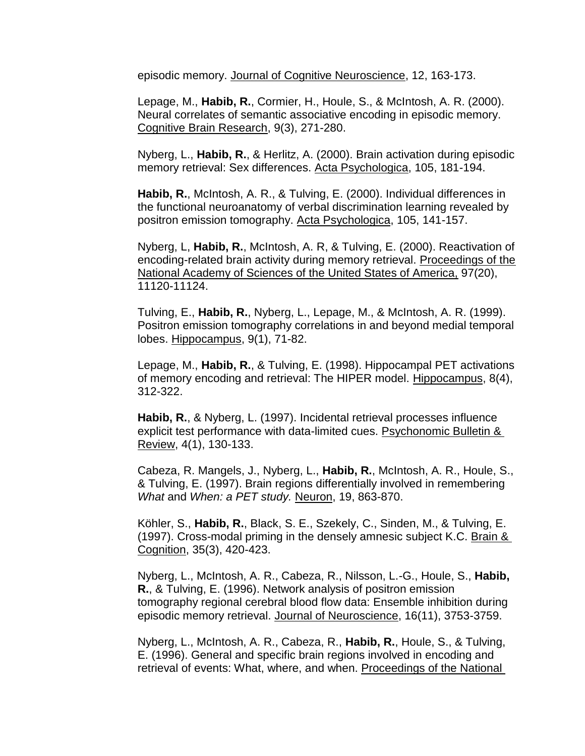episodic memory. Journal of Cognitive Neuroscience, 12, 163-173.

Lepage, M., **Habib, R.**, Cormier, H., Houle, S., & McIntosh, A. R. (2000). Neural correlates of semantic associative encoding in episodic memory. Cognitive Brain Research, 9(3), 271-280.

Nyberg, L., **Habib, R.**, & Herlitz, A. (2000). Brain activation during episodic memory retrieval: Sex differences. Acta Psychologica, 105, 181-194.

**Habib, R.**, McIntosh, A. R., & Tulving, E. (2000). Individual differences in the functional neuroanatomy of verbal discrimination learning revealed by positron emission tomography. Acta Psychologica, 105, 141-157.

Nyberg, L, **Habib, R.**, McIntosh, A. R, & Tulving, E. (2000). Reactivation of encoding-related brain activity during memory retrieval. Proceedings of the National Academy of Sciences of the United States of America, 97(20), 11120-11124.

Tulving, E., **Habib, R.**, Nyberg, L., Lepage, M., & McIntosh, A. R. (1999). Positron emission tomography correlations in and beyond medial temporal lobes. Hippocampus, 9(1), 71-82.

Lepage, M., **Habib, R.**, & Tulving, E. (1998). Hippocampal PET activations of memory encoding and retrieval: The HIPER model. Hippocampus, 8(4), 312-322.

**Habib, R.**, & Nyberg, L. (1997). Incidental retrieval processes influence explicit test performance with data-limited cues. Psychonomic Bulletin & Review, 4(1), 130-133.

Cabeza, R. Mangels, J., Nyberg, L., **Habib, R.**, McIntosh, A. R., Houle, S., & Tulving, E. (1997). Brain regions differentially involved in remembering *What* and *When: a PET study.* Neuron, 19, 863-870.

Köhler, S., **Habib, R.**, Black, S. E., Szekely, C., Sinden, M., & Tulving, E. (1997). Cross-modal priming in the densely amnesic subject K.C. Brain & Cognition, 35(3), 420-423.

Nyberg, L., McIntosh, A. R., Cabeza, R., Nilsson, L.-G., Houle, S., **Habib, R.**, & Tulving, E. (1996). Network analysis of positron emission tomography regional cerebral blood flow data: Ensemble inhibition during episodic memory retrieval. Journal of Neuroscience, 16(11), 3753-3759.

Nyberg, L., McIntosh, A. R., Cabeza, R., **Habib, R.**, Houle, S., & Tulving, E. (1996). General and specific brain regions involved in encoding and retrieval of events: What, where, and when. Proceedings of the National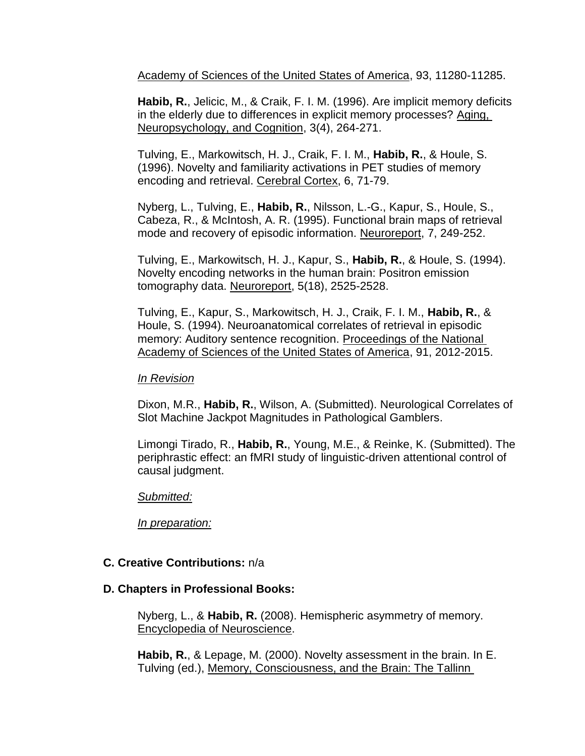Academy of Sciences of the United States of America, 93, 11280-11285.

**Habib, R.**, Jelicic, M., & Craik, F. I. M. (1996). Are implicit memory deficits in the elderly due to differences in explicit memory processes? Aging, Neuropsychology, and Cognition, 3(4), 264-271.

Tulving, E., Markowitsch, H. J., Craik, F. I. M., **Habib, R.**, & Houle, S. (1996). Novelty and familiarity activations in PET studies of memory encoding and retrieval. Cerebral Cortex, 6, 71-79.

Nyberg, L., Tulving, E., **Habib, R.**, Nilsson, L.-G., Kapur, S., Houle, S., Cabeza, R., & McIntosh, A. R. (1995). Functional brain maps of retrieval mode and recovery of episodic information. Neuroreport, 7, 249-252.

Tulving, E., Markowitsch, H. J., Kapur, S., **Habib, R.**, & Houle, S. (1994). Novelty encoding networks in the human brain: Positron emission tomography data. Neuroreport, 5(18), 2525-2528.

Tulving, E., Kapur, S., Markowitsch, H. J., Craik, F. I. M., **Habib, R.**, & Houle, S. (1994). Neuroanatomical correlates of retrieval in episodic memory: Auditory sentence recognition. Proceedings of the National Academy of Sciences of the United States of America, 91, 2012-2015.

### *In Revision*

Dixon, M.R., **Habib, R.**, Wilson, A. (Submitted). Neurological Correlates of Slot Machine Jackpot Magnitudes in Pathological Gamblers.

Limongi Tirado, R., **Habib, R.**, Young, M.E., & Reinke, K. (Submitted). The periphrastic effect: an fMRI study of linguistic-driven attentional control of causal judgment.

### *Submitted:*

*In preparation:*

# **C. Creative Contributions:** n/a

### **D. Chapters in Professional Books:**

Nyberg, L., & **Habib, R.** (2008). Hemispheric asymmetry of memory. Encyclopedia of Neuroscience.

**Habib, R.**, & Lepage, M. (2000). Novelty assessment in the brain. In E. Tulving (ed.), Memory, Consciousness, and the Brain: The Tallinn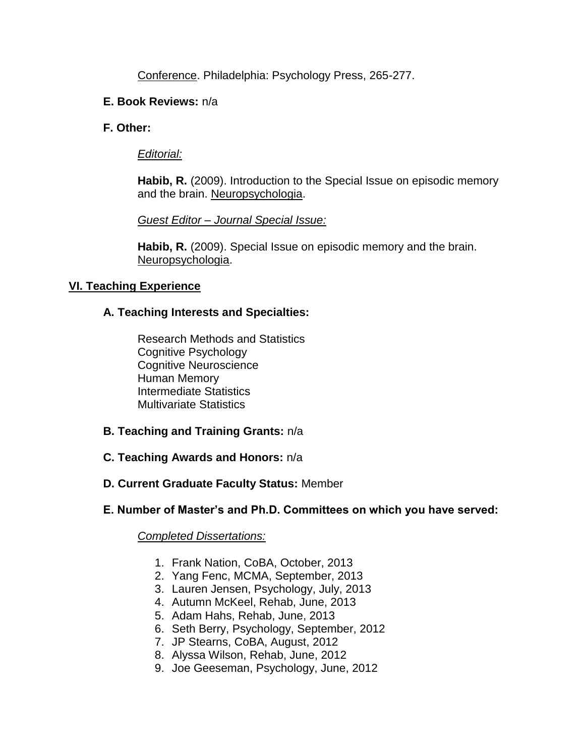Conference. Philadelphia: Psychology Press, 265-277.

## **E. Book Reviews:** n/a

**F. Other:**

## *Editorial:*

**Habib, R.** (2009). Introduction to the Special Issue on episodic memory and the brain. Neuropsychologia.

*Guest Editor – Journal Special Issue:*

**Habib, R.** (2009). Special Issue on episodic memory and the brain. Neuropsychologia.

# **VI. Teaching Experience**

# **A. Teaching Interests and Specialties:**

Research Methods and Statistics Cognitive Psychology Cognitive Neuroscience Human Memory Intermediate Statistics Multivariate Statistics

- **B. Teaching and Training Grants:** n/a
- **C. Teaching Awards and Honors:** n/a
- **D. Current Graduate Faculty Status:** Member

# **E. Number of Master's and Ph.D. Committees on which you have served:**

### *Completed Dissertations:*

- 1. Frank Nation, CoBA, October, 2013
- 2. Yang Fenc, MCMA, September, 2013
- 3. Lauren Jensen, Psychology, July, 2013
- 4. Autumn McKeel, Rehab, June, 2013
- 5. Adam Hahs, Rehab, June, 2013
- 6. Seth Berry, Psychology, September, 2012
- 7. JP Stearns, CoBA, August, 2012
- 8. Alyssa Wilson, Rehab, June, 2012
- 9. Joe Geeseman, Psychology, June, 2012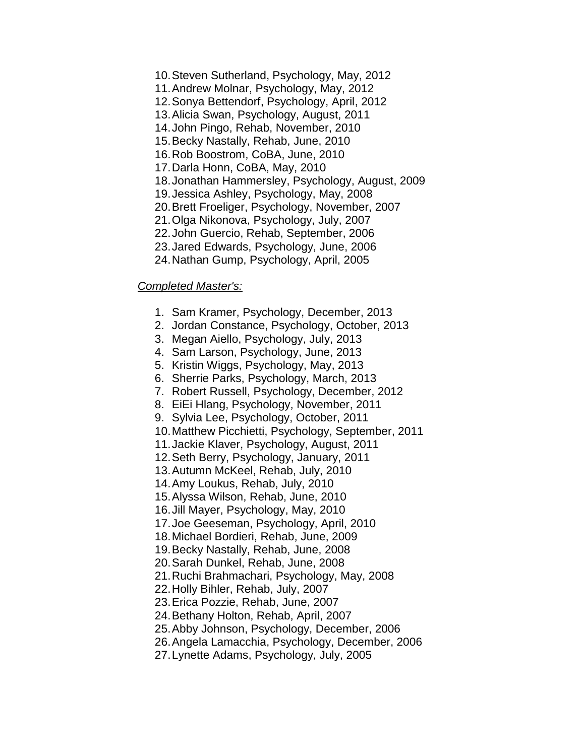- 10.Steven Sutherland, Psychology, May, 2012 11.Andrew Molnar, Psychology, May, 2012 12.Sonya Bettendorf, Psychology, April, 2012 13.Alicia Swan, Psychology, August, 2011 14.John Pingo, Rehab, November, 2010 15.Becky Nastally, Rehab, June, 2010 16.Rob Boostrom, CoBA, June, 2010 17.Darla Honn, CoBA, May, 2010 18.Jonathan Hammersley, Psychology, August, 2009 19.Jessica Ashley, Psychology, May, 2008 20.Brett Froeliger, Psychology, November, 2007 21.Olga Nikonova, Psychology, July, 2007 22.John Guercio, Rehab, September, 2006 23.Jared Edwards, Psychology, June, 2006
- 24.Nathan Gump, Psychology, April, 2005

#### *Completed Master's:*

- 1. Sam Kramer, Psychology, December, 2013
- 2. Jordan Constance, Psychology, October, 2013
- 3. Megan Aiello, Psychology, July, 2013
- 4. Sam Larson, Psychology, June, 2013
- 5. Kristin Wiggs, Psychology, May, 2013
- 6. Sherrie Parks, Psychology, March, 2013
- 7. Robert Russell, Psychology, December, 2012
- 8. EiEi Hlang, Psychology, November, 2011
- 9. Sylvia Lee, Psychology, October, 2011
- 10.Matthew Picchietti, Psychology, September, 2011
- 11.Jackie Klaver, Psychology, August, 2011
- 12.Seth Berry, Psychology, January, 2011
- 13.Autumn McKeel, Rehab, July, 2010
- 14.Amy Loukus, Rehab, July, 2010
- 15.Alyssa Wilson, Rehab, June, 2010
- 16.Jill Mayer, Psychology, May, 2010
- 17.Joe Geeseman, Psychology, April, 2010
- 18.Michael Bordieri, Rehab, June, 2009
- 19.Becky Nastally, Rehab, June, 2008
- 20.Sarah Dunkel, Rehab, June, 2008
- 21.Ruchi Brahmachari, Psychology, May, 2008
- 22.Holly Bihler, Rehab, July, 2007
- 23.Erica Pozzie, Rehab, June, 2007
- 24.Bethany Holton, Rehab, April, 2007
- 25.Abby Johnson, Psychology, December, 2006
- 26.Angela Lamacchia, Psychology, December, 2006
- 27.Lynette Adams, Psychology, July, 2005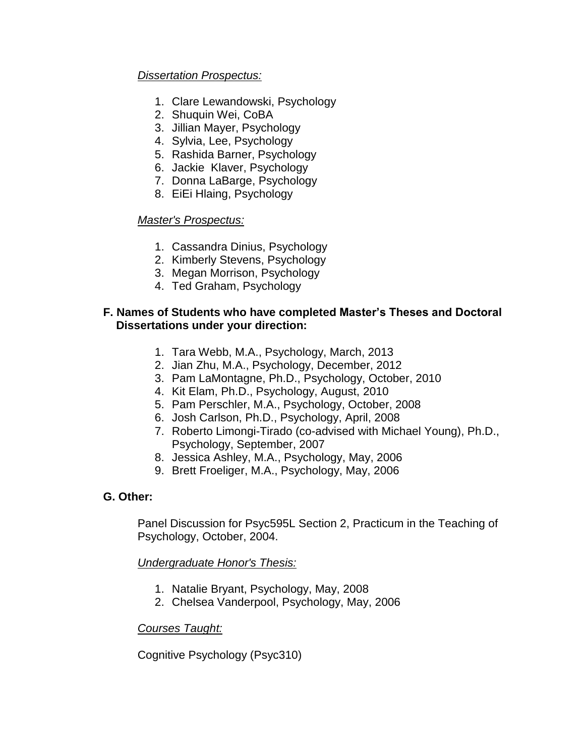## *Dissertation Prospectus:*

- 1. Clare Lewandowski, Psychology
- 2. Shuquin Wei, CoBA
- 3. Jillian Mayer, Psychology
- 4. Sylvia, Lee, Psychology
- 5. Rashida Barner, Psychology
- 6. Jackie Klaver, Psychology
- 7. Donna LaBarge, Psychology
- 8. EiEi Hlaing, Psychology

### *Master's Prospectus:*

- 1. Cassandra Dinius, Psychology
- 2. Kimberly Stevens, Psychology
- 3. Megan Morrison, Psychology
- 4. Ted Graham, Psychology

### **F. Names of Students who have completed Master's Theses and Doctoral Dissertations under your direction:**

- 1. Tara Webb, M.A., Psychology, March, 2013
- 2. Jian Zhu, M.A., Psychology, December, 2012
- 3. Pam LaMontagne, Ph.D., Psychology, October, 2010
- 4. Kit Elam, Ph.D., Psychology, August, 2010
- 5. Pam Perschler, M.A., Psychology, October, 2008
- 6. Josh Carlson, Ph.D., Psychology, April, 2008
- 7. Roberto Limongi-Tirado (co-advised with Michael Young), Ph.D., Psychology, September, 2007
- 8. Jessica Ashley, M.A., Psychology, May, 2006
- 9. Brett Froeliger, M.A., Psychology, May, 2006

### **G. Other:**

Panel Discussion for Psyc595L Section 2, Practicum in the Teaching of Psychology, October, 2004.

*Undergraduate Honor's Thesis:*

- 1. Natalie Bryant, Psychology, May, 2008
- 2. Chelsea Vanderpool, Psychology, May, 2006

### *Courses Taught:*

Cognitive Psychology (Psyc310)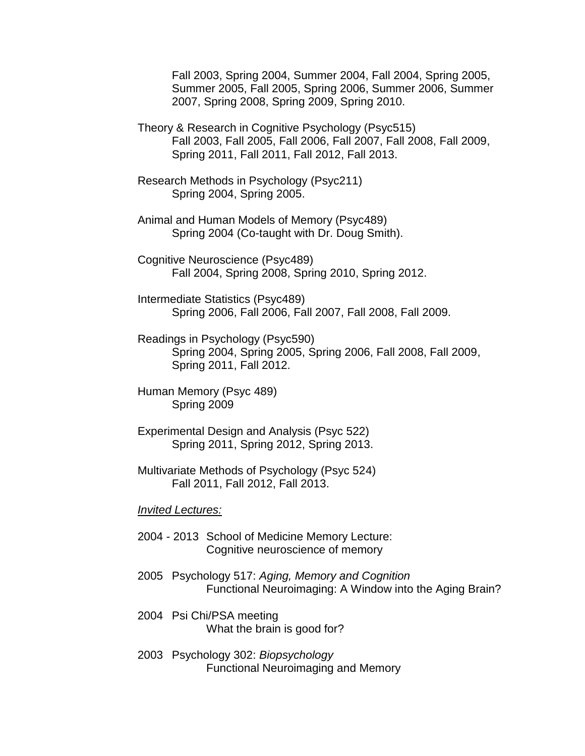Fall 2003, Spring 2004, Summer 2004, Fall 2004, Spring 2005, Summer 2005, Fall 2005, Spring 2006, Summer 2006, Summer 2007, Spring 2008, Spring 2009, Spring 2010.

Theory & Research in Cognitive Psychology (Psyc515) Fall 2003, Fall 2005, Fall 2006, Fall 2007, Fall 2008, Fall 2009, Spring 2011, Fall 2011, Fall 2012, Fall 2013.

Research Methods in Psychology (Psyc211) Spring 2004, Spring 2005.

Animal and Human Models of Memory (Psyc489) Spring 2004 (Co-taught with Dr. Doug Smith).

Cognitive Neuroscience (Psyc489) Fall 2004, Spring 2008, Spring 2010, Spring 2012.

Intermediate Statistics (Psyc489) Spring 2006, Fall 2006, Fall 2007, Fall 2008, Fall 2009.

Readings in Psychology (Psyc590) Spring 2004, Spring 2005, Spring 2006, Fall 2008, Fall 2009, Spring 2011, Fall 2012.

Human Memory (Psyc 489) Spring 2009

Experimental Design and Analysis (Psyc 522) Spring 2011, Spring 2012, Spring 2013.

Multivariate Methods of Psychology (Psyc 524) Fall 2011, Fall 2012, Fall 2013.

*Invited Lectures:*

- 2004 2013 School of Medicine Memory Lecture: Cognitive neuroscience of memory
- 2005 Psychology 517: *Aging, Memory and Cognition*  Functional Neuroimaging: A Window into the Aging Brain?

2004 Psi Chi/PSA meeting What the brain is good for?

2003 Psychology 302: *Biopsychology* Functional Neuroimaging and Memory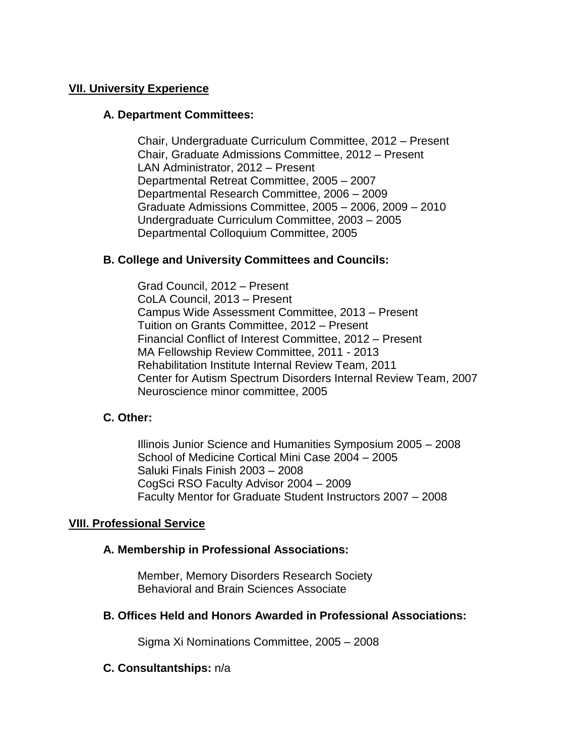## **VII. University Experience**

### **A. Department Committees:**

Chair, Undergraduate Curriculum Committee, 2012 – Present Chair, Graduate Admissions Committee, 2012 – Present LAN Administrator, 2012 – Present Departmental Retreat Committee, 2005 – 2007 Departmental Research Committee, 2006 – 2009 Graduate Admissions Committee, 2005 – 2006, 2009 – 2010 Undergraduate Curriculum Committee, 2003 – 2005 Departmental Colloquium Committee, 2005

## **B. College and University Committees and Councils:**

Grad Council, 2012 – Present CoLA Council, 2013 – Present Campus Wide Assessment Committee, 2013 – Present Tuition on Grants Committee, 2012 – Present Financial Conflict of Interest Committee, 2012 – Present MA Fellowship Review Committee, 2011 - 2013 Rehabilitation Institute Internal Review Team, 2011 Center for Autism Spectrum Disorders Internal Review Team, 2007 Neuroscience minor committee, 2005

### **C. Other:**

Illinois Junior Science and Humanities Symposium 2005 – 2008 School of Medicine Cortical Mini Case 2004 – 2005 Saluki Finals Finish 2003 – 2008 CogSci RSO Faculty Advisor 2004 – 2009 Faculty Mentor for Graduate Student Instructors 2007 – 2008

### **VIII. Professional Service**

### **A. Membership in Professional Associations:**

Member, Memory Disorders Research Society Behavioral and Brain Sciences Associate

### **B. Offices Held and Honors Awarded in Professional Associations:**

Sigma Xi Nominations Committee, 2005 – 2008

### **C. Consultantships:** n/a